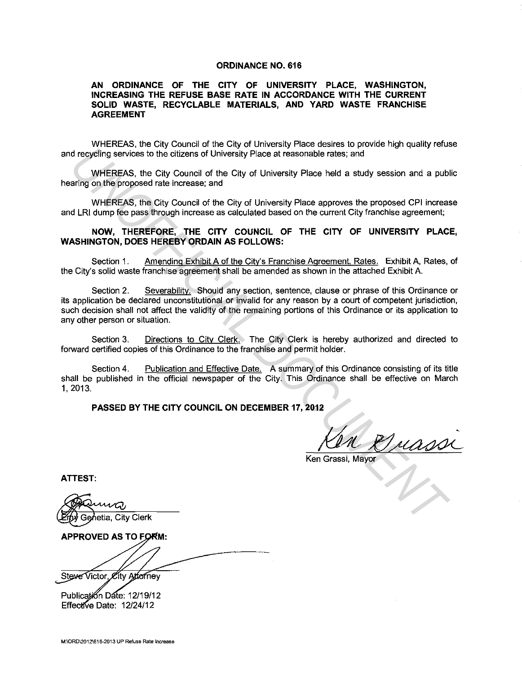## **ORDINANCE NO. 616**

## **AN ORDINANCE OF THE CITY OF UNIVERSITY PLACE, WASHINGTON, INCREASING THE REFUSE BASE RATE IN ACCORDANCE WITH THE CURRENT SOLID WASTE, RECYCLABLE MATERIALS, AND YARD WASTE FRANCHISE AGREEMENT**

WHEREAS, the City Council of the City of University Place desires to provide high quality refuse and recycling services to the citizens of University Place at reasonable rates; and

WHEREAS, the City Council of the City of University Place held a study session and a public hearing on the proposed rate increase; and

WHEREAS, the City Council of the City of University Place approves the proposed CPI increase and LRI dump fee pass through increase as calculated based on the current City franchise agreement;

## **NOW, THEREFORE, THE CITY COUNCIL OF THE CITY OF UNIVERSITY PLACE, WASHINGTON, DOES HEREBY ORDAIN AS FOLLOWS:**

Section 1. Amending Exhibit A of the City's Franchise Agreement, Rates. Exhibit A, Rates, of the City's solid waste franchise agreement shall be amended as shown in the attached Exhibit A.

Section 2. Severability. Should any section, sentence, clause or phrase of this Ordinance or its application be declared unconstitutional or invalid for any reason by a court of competent jurisdiction, such decision shall not affect the validity of the remaining portions of this Ordinance or its application to any other person or situation. d recytling services to the others of University Place at reasonable rates, and<br>
WHEREAS, the City Council of the City of University Place at reasonable rates, and<br>
WHEREAS, the City Council of the City of University Place

Section 3. Directions to Citv Clerk. The City Clerk is hereby authorized and directed to forward certified copies of this Ordinance to the franchise and permit holder.

Section 4. Publication and Effective Date. A summary of this Ordinance consisting of its title shall be published in the official newspaper of the City. This Ordinance shall be effective on March 1, 2013.

**PASSED BY THE CITY COUNCIL ON DECEMBER 17, 2012** 

 $\frac{u_{i}}{1}$ 

Ken Grassi, Mayor

**ATTEST:** 

**APPROVED AS TO FORM:** 

Steve Victor, City Attorney

Publication Date: 12/19/12 Effective Date: 12/24/12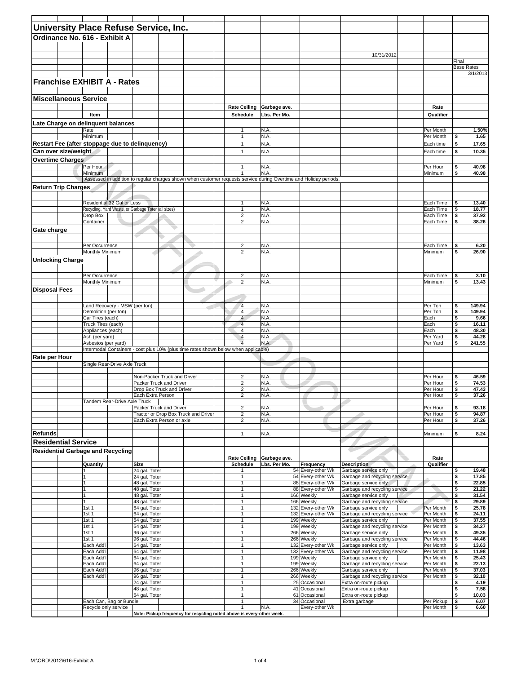|                      |                                          |                                        | University Place Refuse Service, Inc.               |                             |                                      |                                                                                     |              |                                                                                                                   |                                                       |                        |                   |                |
|----------------------|------------------------------------------|----------------------------------------|-----------------------------------------------------|-----------------------------|--------------------------------------|-------------------------------------------------------------------------------------|--------------|-------------------------------------------------------------------------------------------------------------------|-------------------------------------------------------|------------------------|-------------------|----------------|
|                      | Ordinance No. 616 - Exhibit A            |                                        |                                                     |                             |                                      |                                                                                     |              |                                                                                                                   |                                                       |                        |                   |                |
|                      |                                          |                                        |                                                     |                             |                                      |                                                                                     |              |                                                                                                                   |                                                       |                        |                   |                |
|                      |                                          |                                        |                                                     |                             |                                      |                                                                                     |              |                                                                                                                   | 10/31/2012                                            |                        |                   |                |
|                      |                                          |                                        |                                                     |                             |                                      |                                                                                     |              |                                                                                                                   |                                                       |                        | Final             |                |
|                      |                                          |                                        |                                                     |                             |                                      |                                                                                     |              |                                                                                                                   |                                                       |                        | <b>Base Rates</b> |                |
|                      |                                          |                                        |                                                     |                             |                                      |                                                                                     |              |                                                                                                                   |                                                       |                        |                   | 3/1/2013       |
|                      | <b>Franchise EXHIBIT A - Rates</b>       |                                        |                                                     |                             |                                      |                                                                                     |              |                                                                                                                   |                                                       |                        |                   |                |
|                      |                                          |                                        |                                                     |                             |                                      |                                                                                     |              |                                                                                                                   |                                                       |                        |                   |                |
|                      | <b>Miscellaneous Service</b>             |                                        |                                                     |                             |                                      |                                                                                     |              |                                                                                                                   |                                                       |                        |                   |                |
|                      |                                          |                                        |                                                     |                             |                                      | <b>Rate Ceiling</b>                                                                 | Garbage ave. |                                                                                                                   |                                                       | Rate                   |                   |                |
|                      |                                          | Item                                   |                                                     |                             |                                      | Schedule                                                                            | Lbs. Per Mo. |                                                                                                                   |                                                       | Qualifier              |                   |                |
|                      | Late Charge on delinquent balances       |                                        |                                                     |                             |                                      |                                                                                     |              |                                                                                                                   |                                                       |                        |                   |                |
|                      |                                          | Rate                                   |                                                     |                             |                                      | $\mathbf{1}$                                                                        | N.A.         |                                                                                                                   |                                                       | Per Month              |                   | 1.50%          |
|                      |                                          | Minimum                                |                                                     |                             |                                      | $\mathbf{1}$                                                                        | N.A.         |                                                                                                                   |                                                       | Per Month              | \$                | 1.65           |
|                      | Can over size/weight                     |                                        | Restart Fee (after stoppage due to delinquency)     |                             |                                      | $\mathbf{1}$<br>$\mathbf{1}$                                                        | N.A.         |                                                                                                                   |                                                       | Each time              | \$<br>\$          | 17.65          |
|                      |                                          |                                        |                                                     |                             |                                      |                                                                                     | N.A.         |                                                                                                                   |                                                       | Each time              |                   | 10.35          |
|                      | <b>Overtime Charges</b>                  | Per Hour                               |                                                     |                             |                                      | $\mathbf{1}$                                                                        | N.A          |                                                                                                                   |                                                       | Per Hour               | \$                | 40.98          |
|                      |                                          | Minimum <sup>-</sup>                   |                                                     |                             |                                      | $\mathbf{1}$                                                                        | N.A          |                                                                                                                   |                                                       | Minimum                | \$                | 40.98          |
|                      |                                          |                                        |                                                     |                             |                                      |                                                                                     |              | Assessed in addition to regular charges shown when customer requests service during Overtime and Holiday periods. |                                                       |                        |                   |                |
|                      | Return Trip Charges                      |                                        |                                                     |                             |                                      |                                                                                     |              |                                                                                                                   |                                                       |                        |                   |                |
|                      |                                          |                                        |                                                     |                             |                                      |                                                                                     |              |                                                                                                                   |                                                       |                        |                   |                |
|                      |                                          | Residential 32 Gal or Less             |                                                     |                             |                                      | $\mathbf{1}$                                                                        | N.A          |                                                                                                                   |                                                       | Each Time              | \$                | 13.40          |
|                      |                                          |                                        | Recycling, Yard Waste, or Garbage Toter (all sizes) |                             |                                      | $\mathbf{1}$                                                                        | N.A.         |                                                                                                                   |                                                       | Each Time              | \$                | 18.77          |
|                      |                                          | Drop Box<br>Container                  |                                                     |                             |                                      | $\overline{c}$<br>$\overline{\mathbf{c}}$                                           | N.A.<br>N.A. |                                                                                                                   |                                                       | Each Time<br>Each Time | \$<br>S           | 37.92<br>38.26 |
| Gate charge          |                                          |                                        |                                                     |                             |                                      |                                                                                     |              |                                                                                                                   |                                                       |                        |                   |                |
|                      |                                          |                                        |                                                     |                             |                                      |                                                                                     |              |                                                                                                                   |                                                       |                        |                   |                |
|                      |                                          | Per Occurrence                         |                                                     |                             |                                      | $\overline{2}$                                                                      | N.A.         |                                                                                                                   |                                                       | Each Time              | \$                |                |
|                      |                                          | Monthly Minimum                        |                                                     |                             |                                      | $\overline{2}$                                                                      | N.A.         |                                                                                                                   |                                                       | Minimum                | \$                | 6.20<br>26.90  |
|                      | <b>Unlocking Charge</b>                  |                                        |                                                     |                             |                                      |                                                                                     |              |                                                                                                                   |                                                       |                        |                   |                |
|                      |                                          |                                        |                                                     |                             |                                      |                                                                                     |              |                                                                                                                   |                                                       |                        |                   |                |
|                      |                                          | Per Occurrence                         |                                                     |                             |                                      | $\overline{c}$                                                                      | N.A.         |                                                                                                                   |                                                       | Each Time              | \$                | 3.10           |
|                      |                                          | Monthly Minimum                        |                                                     |                             |                                      | $\overline{2}$                                                                      | N.A.         |                                                                                                                   |                                                       | Minimum                | \$                | 13.43          |
| <b>Disposal Fees</b> |                                          |                                        |                                                     |                             |                                      |                                                                                     |              |                                                                                                                   |                                                       |                        |                   |                |
|                      |                                          |                                        |                                                     |                             |                                      |                                                                                     |              |                                                                                                                   |                                                       |                        |                   |                |
|                      |                                          | Land Recovery - MSW (per ton)          |                                                     |                             |                                      | $\overline{4}$                                                                      | N.A.         |                                                                                                                   |                                                       | Per Ton                | \$                | 149.94         |
|                      |                                          | Demolition (per ton)                   |                                                     |                             |                                      | $\overline{4}$                                                                      | N.A.         |                                                                                                                   |                                                       | Per Ton                | \$                | 149.94         |
|                      |                                          | Car Tires (each)<br>Truck Tires (each) |                                                     |                             |                                      | $\overline{4}$<br>$\overline{4}$                                                    | N.A.<br>N.A  |                                                                                                                   |                                                       | Each<br>Each           | \$<br>\$          | 9.66<br>16.11  |
|                      |                                          | Appliances (each)                      |                                                     |                             |                                      | 4                                                                                   | N.A.         |                                                                                                                   |                                                       | Each                   | \$                | 48.30          |
|                      |                                          | Ash (per yard)                         |                                                     |                             |                                      | $\overline{4}$                                                                      | N.A.         |                                                                                                                   |                                                       | Per Yard               | \$                | 44.28          |
|                      |                                          | Asbestos (per yard)                    |                                                     |                             |                                      | $\overline{4}$                                                                      | N.A.         |                                                                                                                   |                                                       | Per Yard               | \$                | 241.55         |
|                      |                                          |                                        |                                                     |                             |                                      | Intermodal Containers - cost plus 10% (plus time rates shown below when applicable) |              |                                                                                                                   |                                                       |                        |                   |                |
| Rate per Hour        |                                          | Single Rear-Drive Axle Truck           |                                                     |                             |                                      |                                                                                     |              |                                                                                                                   |                                                       |                        |                   |                |
|                      |                                          |                                        |                                                     |                             |                                      |                                                                                     |              |                                                                                                                   |                                                       |                        |                   |                |
|                      |                                          |                                        |                                                     | Non-Packer Truck and Driver |                                      | $\overline{c}$                                                                      | N.A          |                                                                                                                   |                                                       | Per Hour               | \$                | 46.59          |
|                      |                                          |                                        |                                                     | Packer Truck and Driver     |                                      | 2                                                                                   | N.A          |                                                                                                                   |                                                       | Per Hour               | \$                | 74.53          |
|                      |                                          |                                        | Each Extra Person                                   | Drop Box Truck and Driver   |                                      | $\overline{\mathbf{c}}$<br>2                                                        | N.A.<br>N.A. |                                                                                                                   |                                                       | Per Hour<br>Per Hour   | \$<br>\$          | 47.43<br>37.26 |
|                      |                                          | Tandem Rear-Drive Axle Truck           |                                                     |                             |                                      |                                                                                     |              |                                                                                                                   |                                                       |                        |                   |                |
|                      |                                          |                                        | Packer Truck and Driver                             |                             |                                      | $\sqrt{2}$                                                                          | N.A.         |                                                                                                                   |                                                       | Per Hour               | \$                | 93.18          |
|                      |                                          |                                        |                                                     | Each Extra Person or axle   | Tractor or Drop Box Truck and Driver | $\overline{c}$<br>$\overline{c}$                                                    | N.A.         |                                                                                                                   |                                                       | Per Hour               | \$                | 94.87          |
|                      |                                          |                                        |                                                     |                             |                                      |                                                                                     | N.A.         |                                                                                                                   |                                                       | Per Hour               | \$                | 37.26          |
| <b>Refunds</b>       |                                          |                                        |                                                     |                             |                                      | $\mathbf{1}$                                                                        | N.A.         |                                                                                                                   |                                                       | Minimum                | \$                | 8.24           |
|                      | <b>Residential Service</b>               |                                        |                                                     |                             |                                      |                                                                                     |              |                                                                                                                   |                                                       |                        |                   |                |
|                      | <b>Residential Garbage and Recycling</b> |                                        |                                                     |                             |                                      |                                                                                     |              |                                                                                                                   |                                                       |                        |                   |                |
|                      |                                          |                                        |                                                     |                             |                                      | <b>Rate Ceiling</b>                                                                 | Garbage ave. |                                                                                                                   |                                                       | Rate                   |                   |                |
|                      |                                          | Quantity                               | Size                                                |                             |                                      | Schedule                                                                            | Lbs. Per Mo. | Frequency                                                                                                         | <b>Description</b>                                    | Qualifier              |                   |                |
|                      |                                          |                                        | 24 gal. Toter                                       |                             |                                      | 1                                                                                   |              | 54 Every-other Wk                                                                                                 | Garbage service only                                  |                        | \$                | 19.48          |
|                      |                                          | $\vert$ 1                              | 24 gal. Toter<br>48 gal. Toter                      |                             |                                      | $\mathbf{1}$<br>$\mathbf{1}$                                                        |              | 54 Every-other Wk<br>88 Every-other Wk                                                                            | Garbage and recycling service<br>Garbage service only |                        | \$<br>\$          | 17.85<br>22.85 |
|                      |                                          | l1                                     | 48 gal. Toter                                       |                             |                                      | $\mathbf{1}$                                                                        |              | 88 Every-other Wk                                                                                                 | Garbage and recycling service                         |                        | \$                | 21.22          |
|                      |                                          |                                        | 48 gal. Toter                                       |                             |                                      | $\mathbf{1}$                                                                        |              | 166 Weekly                                                                                                        | Garbage service only                                  |                        | \$                | 31.54          |
|                      |                                          | 1                                      | 48 gal. Toter                                       |                             |                                      | 1                                                                                   |              | 166 Weekly                                                                                                        | Garbage and recycling service                         |                        | \$                | 29.89          |
|                      |                                          | 1st <sub>1</sub><br>1st <sub>1</sub>   | 64 gal. Toter<br>64 gal. Toter                      |                             |                                      | 1<br>$\mathbf{1}$                                                                   |              | 132 Every-other Wk<br>132 Every-other Wk                                                                          | Garbage service only<br>Garbage and recycling service | Per Month<br>Per Month | \$<br>\$          | 25.78<br>24.11 |
|                      |                                          | 1st <sub>1</sub>                       | 64 gal. Toter                                       |                             |                                      | $\mathbf{1}$                                                                        |              | 199 Weekly                                                                                                        | Garbage service only                                  | Per Month              | \$                | 37.55          |
|                      |                                          | 1st <sub>1</sub>                       | 64 gal. Toter                                       |                             |                                      | $\mathbf{1}$                                                                        |              | 199 Weekly                                                                                                        | Garbage and recycling service                         | Per Month              | \$                | 34.27          |
|                      |                                          | 1st <sub>1</sub><br>1st <sub>1</sub>   | 96 gal. Toter<br>96 gal. Toter                      |                             |                                      | $\mathbf{1}$<br>1                                                                   |              | 266 Weekly<br>266 Weekly                                                                                          | Garbage service only<br>Garbage and recycling service | Per Month<br>Per Month | \$<br>\$          | 49.35<br>44.46 |
|                      |                                          | Each Add'l                             | 64 gal. Toter                                       |                             |                                      | $\mathbf{1}$                                                                        |              | 132 Every-other Wk                                                                                                | Garbage service only                                  | Per Month              | \$                | 13.63          |
|                      |                                          | Each Add'l                             | 64 gal. Toter                                       |                             |                                      | 1                                                                                   |              | 132 Every-other Wk                                                                                                | Garbage and recycling service                         | Per Month              | \$                | 11.98          |
|                      |                                          | Each Add'l                             | 64 gal. Toter                                       |                             |                                      | $\mathbf{1}$                                                                        |              | 199 Weekly                                                                                                        | Garbage service only                                  | Per Month              | \$                | 25.43          |
|                      |                                          | Each Add'l<br>Each Add'l               | 64 gal. Toter<br>96 gal. Toter                      |                             |                                      | 1<br>$\mathbf{1}$                                                                   |              | 199 Weekly<br>266 Weekly                                                                                          | Garbage and recycling service<br>Garbage service only | Per Month<br>Per Month | \$<br>\$          | 22.13<br>37.03 |
|                      |                                          | Each Add'l                             | 96 gal. Toter                                       |                             |                                      | $\mathbf{1}$                                                                        |              | 266 Weekly                                                                                                        | Garbage and recycling service                         | Per Month              | \$                | 32.10          |
|                      |                                          |                                        | 24 gal. Toter                                       |                             |                                      | $\mathbf{1}$                                                                        |              | 25 Occasional                                                                                                     | Extra on-route pickup                                 |                        | \$                | 4.19           |
|                      |                                          |                                        | 48 gal. Toter                                       |                             |                                      | $\mathbf{1}$                                                                        |              | 41 Occasional                                                                                                     | Extra on-route pickup                                 |                        | \$                | 7.58           |
|                      |                                          | Each Can, Bag or Bundle                | 64 gal. Toter                                       |                             |                                      | 1<br>$\mathbf{1}$                                                                   |              | 61 Occasional<br>34 Occasional                                                                                    | Extra on-route pickup<br>Extra garbage                | Per Pickup             | \$<br>\$          | 10.03<br>6.07  |
|                      |                                          | Recycle only service                   |                                                     |                             |                                      | 1                                                                                   | N.A.         | Every-other Wk                                                                                                    |                                                       | Per Month              | \$                | 6.60           |
|                      |                                          |                                        |                                                     |                             |                                      | Note: Pickup frequency for recycling noted above is every-other week.               |              |                                                                                                                   |                                                       |                        |                   |                |
|                      |                                          |                                        |                                                     |                             |                                      |                                                                                     |              |                                                                                                                   |                                                       |                        |                   |                |
|                      |                                          |                                        |                                                     |                             |                                      |                                                                                     |              |                                                                                                                   |                                                       |                        |                   |                |
|                      |                                          |                                        |                                                     |                             |                                      |                                                                                     |              |                                                                                                                   |                                                       |                        |                   |                |
|                      |                                          |                                        |                                                     |                             |                                      |                                                                                     |              |                                                                                                                   |                                                       |                        |                   |                |
|                      |                                          |                                        |                                                     |                             |                                      |                                                                                     |              |                                                                                                                   |                                                       |                        |                   |                |
|                      |                                          |                                        |                                                     |                             |                                      |                                                                                     |              |                                                                                                                   |                                                       |                        |                   |                |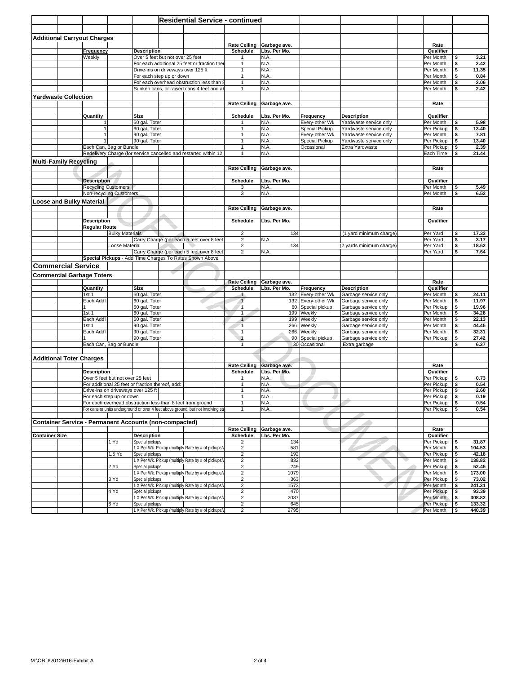| <b>Additional Carryout Charges</b> |                                |                                  |                                                                                                                                                | <b>Residential Service - continued</b> |                                           |                              |                                          |                                                  |                          |              |                  |
|------------------------------------|--------------------------------|----------------------------------|------------------------------------------------------------------------------------------------------------------------------------------------|----------------------------------------|-------------------------------------------|------------------------------|------------------------------------------|--------------------------------------------------|--------------------------|--------------|------------------|
|                                    |                                |                                  |                                                                                                                                                |                                        |                                           |                              |                                          |                                                  |                          |              |                  |
|                                    |                                |                                  |                                                                                                                                                |                                        |                                           |                              |                                          |                                                  |                          |              |                  |
|                                    | Frequency                      |                                  | <b>Description</b>                                                                                                                             |                                        | <b>Rate Ceiling</b><br>Schedule           | Garbage ave.<br>Lbs. Per Mo. |                                          |                                                  | Rate<br>Qualifier        |              |                  |
|                                    | Weekly                         |                                  | Over 5 feet but not over 25 feet<br>For each additional 25 feet or fraction the                                                                |                                        | 1<br>$\mathbf{1}$                         | N.A.<br>N.A.                 |                                          |                                                  | Per Month<br>Per Month   | \$<br>\$     | 3.21<br>2.42     |
|                                    |                                |                                  | Drive-ins on driveways over 125 ft                                                                                                             |                                        | 1                                         | N.A.                         |                                          |                                                  | Per Month                | \$           | 11.35            |
|                                    |                                |                                  | For each step up or down<br>For each overhead obstruction less than 8                                                                          |                                        | $\mathbf{1}$<br>$\mathbf{1}$              | N.A.<br>N.A.                 |                                          |                                                  | Per Month<br>Per Month   | \$<br>\$     | 0.84<br>2.06     |
|                                    |                                |                                  | Sunken cans, or raised cans 4 feet and al                                                                                                      |                                        | $\mathbf{1}$                              | N.A.                         |                                          |                                                  | Per Month                | \$           | 2.42             |
| <b>Yardwaste Collection</b>        |                                |                                  |                                                                                                                                                |                                        | <b>Rate Ceiling</b>                       | Garbage ave.                 |                                          |                                                  | Rate                     |              |                  |
|                                    |                                |                                  |                                                                                                                                                |                                        |                                           |                              |                                          |                                                  |                          |              |                  |
|                                    | Quantity<br>1                  |                                  | Size<br>60 gal. Toter                                                                                                                          |                                        | Schedule<br>$\mathbf{1}$                  | Lbs. Per Mo.<br>N.A.         | Frequency<br>Every-other Wk              | <b>Description</b><br>Yardwaste service only     | Qualifier<br>Per Month   | \$           | 5.98             |
|                                    | $\mathbf{1}$                   |                                  | 60 gal. Toter                                                                                                                                  |                                        | $\mathbf{1}$                              | N.A.                         | Special Pickup                           | Yardwaste service only                           | Per Pickup               | \$           | 13.40            |
|                                    | $\mathbf{1}$<br>$\mathbf{1}$   |                                  | 90 gal. Toter<br>90 gal. Toter                                                                                                                 |                                        | $\mathbf{1}$<br>$\mathbf{1}$              | N.A.<br>N.A.                 | Every-other Wk<br>Special Pickup         | Yardwaste service only<br>Yardwaste service only | Per Month<br>Per Pickup  | \$<br>\$     | 7.81<br>13.40    |
|                                    |                                | Each Can, Bag or Bundle          | Redelivery Charge (for service cancelled and restarted within 12                                                                               |                                        | $\mathbf{1}$<br>$\mathbf{1}$              | N.A.<br>N.A.                 | Occasional                               | Extra Yardwaste                                  | Per Pickup<br>Each Time  | \$<br>\$     | 2.39<br>21.44    |
| <b>Multi-Family Recycling</b>      |                                |                                  |                                                                                                                                                |                                        |                                           |                              |                                          |                                                  |                          |              |                  |
|                                    |                                |                                  |                                                                                                                                                |                                        | <b>Rate Ceiling</b>                       | Garbage ave.                 |                                          |                                                  | Rate                     |              |                  |
|                                    | <b>Description</b>             |                                  |                                                                                                                                                |                                        | Schedule                                  | Lbs. Per Mo.                 |                                          |                                                  | Qualifier                |              |                  |
|                                    | <b>Recycling Customers</b>     |                                  |                                                                                                                                                |                                        | 3                                         | N.A.                         |                                          |                                                  | Per Month                | \$           | 5.49             |
| <b>Loose and Bulky Material</b>    |                                | <b>Non-recycling Customers</b>   |                                                                                                                                                |                                        | 3                                         | N.A                          |                                          |                                                  | Per Month                | \$           | 6.52             |
|                                    |                                |                                  |                                                                                                                                                |                                        | <b>Rate Ceiling</b>                       | Garbage ave.                 |                                          |                                                  | Rate                     |              |                  |
|                                    | <b>Description</b>             |                                  |                                                                                                                                                |                                        | Schedule                                  | Lbs. Per Mo.                 |                                          |                                                  | Qualifier                |              |                  |
|                                    | <b>Regular Route</b>           |                                  |                                                                                                                                                |                                        |                                           |                              |                                          |                                                  |                          |              |                  |
|                                    |                                | <b>Bulky Materials</b>           | Carry Charge (per each 5 feet over 8 feet                                                                                                      |                                        | $\overline{2}$<br>$\overline{c}$          | 134<br>N.A                   |                                          | (1 yard minimum charge)                          | Per Yard<br>Per Yard     | \$<br>\$     | 17.33<br>3.17    |
|                                    |                                | Loose Material                   | Carry Charge (per each 5 feet over 8 feet                                                                                                      |                                        | $\sqrt{2}$<br>$\overline{2}$              | 134<br>N.A.                  |                                          | (2 yards minimum charge)                         | Per Yard<br>Per Yard     | \$<br>\$     | 18.62<br>7.64    |
|                                    |                                |                                  | Special Pickups - Add Time Charges To Rates Shown Above                                                                                        |                                        |                                           |                              |                                          |                                                  |                          |              |                  |
| <b>Commercial Service</b>          |                                |                                  |                                                                                                                                                |                                        |                                           |                              |                                          |                                                  |                          |              |                  |
| <b>Commercial Garbage Toters</b>   |                                |                                  |                                                                                                                                                |                                        | <b>Rate Ceiling</b>                       | Garbage ave.                 |                                          |                                                  | Rate                     |              |                  |
|                                    | Quantity                       |                                  | Size                                                                                                                                           |                                        | Schedule                                  | Lbs. Per Mo.                 | Frequency                                | <b>Description</b>                               | Qualifier                |              |                  |
|                                    | 1st <sub>1</sub><br>Each Add'l |                                  | 60 gal. Toter<br>60 gal. Toter                                                                                                                 |                                        | $\blacktriangleleft$<br>$\overline{1}$    |                              | 132 Every-other Wk<br>132 Every-other Wk | Garbage service only<br>Garbage service only     | Per Month<br>Per Month   | \$<br>\$     | 24.11<br>11.97   |
|                                    | 1                              |                                  | 60 gal. Toter                                                                                                                                  |                                        | $\sqrt{1}$                                |                              | 60 Special pickup                        | Garbage service only                             | Per Pickup               | \$           | 19.96            |
|                                    | 1st <sub>1</sub><br>Each Add'l |                                  | 60 gal. Toter<br>60 gal. Toter                                                                                                                 |                                        | $\mathbf{1}$<br>$\mathbf{1}$              |                              | 199 Weekly<br>199 Weekly                 | Garbage service only<br>Garbage service only     | Per Month<br>Per Month   | \$<br>\$     | 34.28<br>22.13   |
|                                    | 1st <sub>1</sub><br>Each Add'l |                                  | 90 gal. Toter<br>90 gal. Toter                                                                                                                 |                                        | $\overline{1}$<br>$\overline{1}$          |                              | 266 Weekly<br>266 Weekly                 | Garbage service only                             | Per Month<br>Per Month   | \$<br>\$     | 44.45<br>32.31   |
|                                    |                                |                                  | 90 gal. Toter                                                                                                                                  |                                        | $\overline{1}$                            |                              | 90 Special pickup                        | Garbage service only<br>Garbage service only     | Per Pickup               | \$           | 27.42            |
|                                    |                                | Each Can, Bag or Bundle          |                                                                                                                                                |                                        | $\overline{1}$                            |                              | 30 Occasional                            | Extra garbage                                    |                          | \$           | 6.37             |
| <b>Additional Toter Charges</b>    |                                |                                  |                                                                                                                                                |                                        |                                           |                              |                                          |                                                  |                          |              |                  |
|                                    |                                |                                  |                                                                                                                                                |                                        | <b>Rate Ceiling</b>                       | Garbage ave.                 |                                          |                                                  | Rate                     |              |                  |
|                                    | <b>Description</b>             | Over 5 feet but not over 25 feet |                                                                                                                                                |                                        | Schedule                                  | Lbs. Per Mo.<br>N.A.         |                                          |                                                  | Qualifier<br>Per Pickup  | \$           | 0.73             |
|                                    |                                |                                  | For additional 25 feet or fraction thereof, add:<br>Drive-ins on driveways over 125 ft                                                         |                                        | 1<br>$\mathbf{1}$                         | N.A.<br>N.A.                 |                                          |                                                  | Per Pickup<br>Per Pickup | \$<br>\$     | 0.54<br>2.60     |
|                                    |                                | For each step up or down         |                                                                                                                                                |                                        |                                           | N.A.                         |                                          |                                                  | Per Pickup   \$          |              | 0.19             |
|                                    |                                |                                  | For each overhead obstruction less than 8 feet from ground<br>For cans or units underground or over 4 feet above ground, but not involving sta |                                        | $\mathbf{1}$<br>$\mathbf{1}$              | N.A.<br>N.A.                 |                                          |                                                  | Per Pickup<br>Per Pickup | l \$<br>  \$ | 0.54<br>0.54     |
|                                    |                                |                                  |                                                                                                                                                |                                        |                                           |                              |                                          |                                                  |                          |              |                  |
|                                    |                                |                                  | <b>Container Service - Permanent Accounts (non-compacted)</b>                                                                                  |                                        | <b>Rate Ceiling</b>                       | Garbage ave.                 |                                          |                                                  | Rate                     |              |                  |
| <b>Container Size</b>              |                                | 1 Yd                             | <b>Description</b>                                                                                                                             |                                        | Schedule                                  | Lbs. Per Mo.                 |                                          |                                                  | Qualifier<br>Per Pickup  |              |                  |
|                                    |                                |                                  | Special pickups<br>1 X Per Wk. Pickup (multiply Rate by # of pickups/                                                                          |                                        | $\overline{\mathbf{c}}$<br>$\overline{c}$ | 134<br>581                   |                                          |                                                  | Per Month                | \$<br>\$     | 31.87<br>104.53  |
|                                    |                                | 1.5 Yd                           | Special pickups<br>1 X Per Wk. Pickup (multiply Rate by # of pickups/                                                                          |                                        | $\overline{c}$<br>$\overline{\mathbf{c}}$ | 192<br>832                   |                                          |                                                  | Per Pickup<br>Per Month  | \$<br>\$     | 42.18<br>138.82  |
|                                    |                                | 2 Yd                             | Special pickups                                                                                                                                |                                        | 2                                         | 249                          |                                          |                                                  | Per Pickup               | \$           | 52.45            |
|                                    |                                | 3 Yd                             | 1 X Per Wk. Pickup (multiply Rate by # of pickups/v<br>Special pickups                                                                         |                                        | $\overline{c}$<br>$\overline{2}$          | 1079<br>363                  |                                          |                                                  | Per Month<br>Per Pickup  | \$<br>\$     | 173.00<br>73.02  |
|                                    |                                | 4 Yd                             | 1 X Per Wk. Pickup (multiply Rate by # of pickups/<br>Special pickups                                                                          |                                        | $\overline{c}$<br>$\overline{\mathbf{c}}$ | 1573<br>470                  |                                          |                                                  | Per Month<br>Per Pickup  | \$<br>\$     | 241.31<br>93.39  |
|                                    |                                |                                  | 1 X Per Wk. Pickup (multiply Rate by # of pickups/                                                                                             |                                        | $\overline{c}$                            | 2037                         |                                          |                                                  | Per Month                | \$           | 308.82           |
|                                    |                                | 6 Yd                             | Special pickups<br>1 X Per Wk. Pickup (multiply Rate by # of pickups/                                                                          |                                        | $\overline{c}$<br>2                       | 645<br>2795                  |                                          |                                                  | Per Pickup<br>Per Month  | \$<br>\$     | 133.32<br>440.39 |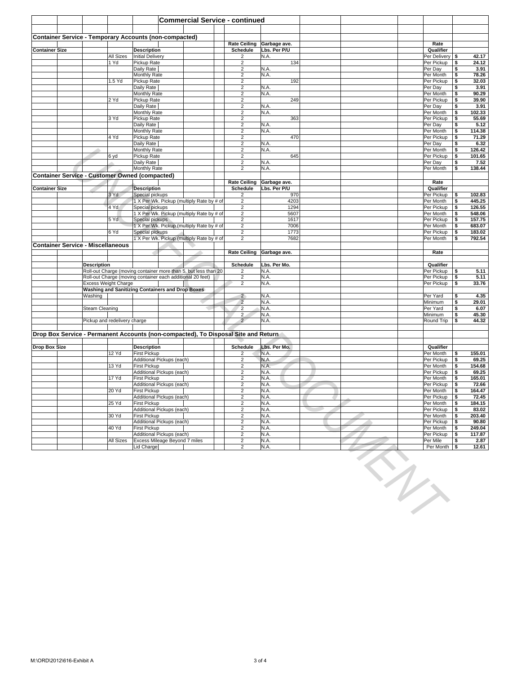|                           |                                          |                       |                              | <b>Commercial Service - continued</b>                                                                                         |   |                                                    |                     |     |                                 |            |                  |
|---------------------------|------------------------------------------|-----------------------|------------------------------|-------------------------------------------------------------------------------------------------------------------------------|---|----------------------------------------------------|---------------------|-----|---------------------------------|------------|------------------|
|                           |                                          |                       |                              |                                                                                                                               |   |                                                    |                     |     |                                 |            |                  |
|                           |                                          |                       |                              | <b>Container Service - Temporary Accounts (non-compacted)</b>                                                                 |   | <b>Rate Ceiling</b>                                | Garbage ave.        |     | Rate                            |            |                  |
| <b>Container Size</b>     |                                          |                       |                              | <b>Description</b>                                                                                                            |   | Schedule                                           | Lbs. Per P/U        |     | Qualifier                       |            |                  |
|                           |                                          |                       | All Sizes<br>1 Yd            | <b>Initial Delivery</b><br>Pickup Rate                                                                                        |   | 2<br>$\overline{\mathbf{c}}$                       | N.A.<br>134         |     | Per Delivery   \$<br>Per Pickup | \$         | 42.17<br>24.12   |
|                           |                                          |                       |                              | Daily Rate<br>Monthly Rate                                                                                                    |   | $\overline{c}$<br>$\overline{2}$                   | N.A.<br>N.A.        |     | Per Day<br>Per Month            | \$<br>\$   | 3.91<br>78.26    |
|                           |                                          |                       | 1.5 Yd                       | Pickup Rate                                                                                                                   |   | $\overline{\mathbf{c}}$                            | 192                 |     | Per Pickup                      | \$         | 32.03            |
|                           |                                          |                       |                              | Daily Rate<br>Monthly Rate                                                                                                    |   | $\overline{\mathbf{c}}$<br>2                       | N.A<br>N.A.         |     | Per Day<br>Per Month            | \$<br>\$   | 3.91<br>90.29    |
|                           |                                          |                       | 2 Yd                         | Pickup Rate                                                                                                                   |   | $\overline{c}$                                     | 249                 |     | Per Pickup                      | \$         | 39.90            |
|                           |                                          |                       |                              | Daily Rate<br>Monthly Rate                                                                                                    |   | $\overline{c}$<br>$\overline{c}$                   | N.A<br>N.A.         |     | Per Day<br>Per Month            | \$<br>\$   | 3.91<br>102.33   |
|                           |                                          |                       | 3 Yd                         | Pickup Rate<br>Daily Rate                                                                                                     |   | $\overline{2}$<br>$\overline{2}$                   | 363<br>N.A.         |     | Per Pickup<br>Per Day           | \$<br>\$   | 55.69<br>5.12    |
|                           |                                          |                       |                              | <b>Monthly Rate</b>                                                                                                           |   | $\overline{c}$                                     | N.A.                |     | Per Month                       | \$         | 114.38           |
|                           |                                          |                       | 4 Yd                         | Pickup Rate<br>Daily Rate                                                                                                     |   | $\overline{\mathbf{c}}$<br>$\overline{\mathbf{c}}$ | 470<br>N.A.         |     | Per Pickup<br>Per Day           | \$<br>\$   | 71.29<br>6.32    |
|                           |                                          | ÷                     |                              | Monthly Rate                                                                                                                  |   | $\overline{\mathbf{c}}$                            | N.A.<br>645         |     | Per Month<br>Per Pickup         | \$         | 126.42<br>101.65 |
|                           |                                          |                       | 6 yd                         | Pickup Rate<br>Daily Rate                                                                                                     |   | 2<br>$\sqrt{2}$                                    | N.A.                |     | Per Day                         | \$<br>\$   | 7.52             |
|                           |                                          |                       |                              | Monthly Rate<br><b>Container Service - Customer Owned (compacted)</b>                                                         |   | $\overline{2}$                                     | N.A.                |     | Per Month                       | \$         | 138.44           |
|                           |                                          |                       |                              |                                                                                                                               |   | <b>Rate Ceiling</b>                                | Garbage ave.        |     | Rate                            |            |                  |
| <b>Container Size</b>     |                                          |                       | 3 Yd                         | <b>Description</b><br>Special pickups                                                                                         |   | Schedule<br>$\overline{\mathbf{c}}$                | Lbs. Per P/U<br>970 |     | Qualifier<br>Per Pickup         | \$         | 102.83           |
|                           |                                          |                       |                              | 1 X Per Wk. Pickup (multiply Rate by # of                                                                                     |   | $\overline{c}$                                     | 4203                |     | Per Month                       | \$         | 445.25           |
|                           |                                          |                       | 4 Yd                         | Special pickups<br>1 X Per Wk. Pickup (multiply Rate by # of                                                                  |   | $\overline{c}$<br>$\overline{\mathbf{c}}$          | 1294<br>5607        |     | Per Pickup<br>Per Month         | \$<br>\$   | 126.55<br>548.06 |
|                           |                                          |                       | 5 Yd                         | Special pickups<br>1 X Per Wk. Pickup (multiply Rate by # of                                                                  |   | $\sqrt{2}$                                         | 1617                |     | Per Pickup                      | \$         | 157.75           |
|                           |                                          |                       | 6 Yd                         | Special pickups                                                                                                               |   | $\sqrt{2}$<br>$\overline{c}$                       | 7006<br>1773        |     | Per Month<br>Per Pickup         | \$<br>\$   | 683.07<br>183.02 |
|                           | <b>Container Service - Miscellaneous</b> |                       |                              | 1 X Per Wk. Pickup (multiply Rate by # of                                                                                     |   | $\overline{2}$                                     | 7682                |     | Per Month                       | \$         | 792.54           |
|                           |                                          |                       |                              |                                                                                                                               |   | <b>Rate Ceiling</b>                                | Garbage ave.        |     | Rate                            |            |                  |
|                           |                                          | <b>Description</b>    |                              |                                                                                                                               |   | Schedule                                           | Lbs. Per Mo.        |     | Qualifier                       |            |                  |
|                           |                                          |                       |                              | Roll-out Charge (moving container more than 5, but less than 20<br>Roll-out Charge (moving container each additional 20 feet) |   | 2<br>$\overline{2}$                                | N.A.<br>N.A.        |     | Per Pickup                      | \$         | 5.11             |
|                           |                                          |                       | <b>Excess Weight Charge</b>  |                                                                                                                               |   | $\overline{2}$                                     | N.A.                |     | Per Pickup<br>Per Pickup        | \$<br>\$   | 5.11<br>33.76    |
|                           |                                          | Washing               |                              | <b>Washing and Sanitizing Containers and Drop Boxes</b>                                                                       |   | $\overline{2}$                                     | N.A.                |     | Per Yard                        | \$         | 4.35             |
|                           |                                          |                       |                              |                                                                                                                               | œ | $\overline{2}$                                     | N.A.                |     | Minimum                         | \$         | 29.01            |
|                           |                                          | <b>Steam Cleaning</b> |                              |                                                                                                                               |   | $\overline{c}$<br>$\mathbf{2}$                     | N.A.<br>N.A.        |     | Per Yard<br>Minimum             | \$<br>\$   | 6.07<br>45.30    |
|                           |                                          |                       | Pickup and redelivery charge |                                                                                                                               |   | $\overline{2}$                                     | N.A.                |     | Round Trip                      | \$         | 44.32            |
|                           |                                          |                       |                              | Drop Box Service - Permanent Accounts (non-compacted), To Disposal Site and Return                                            |   |                                                    |                     |     |                                 |            |                  |
| <b>Drop Box Size</b>      |                                          |                       |                              | <b>Description</b>                                                                                                            |   | Schedule                                           | Lbs. Per Mo.        |     | Qualifier                       |            |                  |
|                           |                                          |                       | 12 Yd                        | First Pickup                                                                                                                  |   | 2                                                  | N.A.                |     | Per Month                       | \$         | 155.01           |
|                           |                                          |                       | 13 Yd                        | Additional Pickups (each)<br><b>First Pickup</b>                                                                              |   | $\overline{c}$<br>$\overline{\mathbf{c}}$          | N.A.<br>N.A         |     | Per Pickup<br>Per Month         | \$<br>\$   | 69.25<br>154.68  |
|                           |                                          |                       | 17 Yd                        | Additional Pickups (each)<br>First Pickup                                                                                     |   | $\overline{\mathbf{c}}$<br>$\overline{\mathbf{c}}$ | N.A<br>N.A.         |     | Per Pickup<br>Per Month         | \$<br>\$   | 69.25<br>165.01  |
|                           |                                          |                       |                              | Additional Pickups (each)                                                                                                     |   | $\overline{\mathbf{c}}$                            | N.A.                |     | Per Pickup                      | \$         | 72.66            |
|                           |                                          |                       | 20 Yd                        | First Pickup<br>Additional Pickups (each)                                                                                     |   | $\overline{2}$                                     | N.A.<br>N.A.        |     | Per Month<br>Per Pickup         | \$<br>  \$ | 164.47<br>72.45  |
|                           |                                          |                       | 25 Yd                        | First Pickup<br>Additional Pickups (each)                                                                                     |   | $\overline{c}$<br>$\overline{2}$                   | N.A.<br>N.A.        |     | Per Month<br>Per Pickup         | \$<br>\$   | 184.15<br>83.02  |
|                           |                                          |                       | 30 Yd                        | First Pickup                                                                                                                  |   | $\overline{\mathbf{c}}$                            | N.A.                |     | Per Month                       | <b>\$</b>  | 203.40           |
|                           |                                          |                       | 40 Yd                        | Additional Pickups (each)<br>First Pickup                                                                                     |   | $\overline{c}$<br>$\overline{\mathbf{c}}$          | N.A.<br>N.A.        |     | Per Pickup<br>Per Month         | \$<br>\$   | 90.80<br>249.04  |
|                           |                                          |                       | All Sizes                    | Additional Pickups (each)<br>Excess Mileage Beyond 7 miles                                                                    |   | $\overline{c}$<br>$\overline{2}$                   | N.A.<br>N.A.        |     | Per Pickup<br>Per Mile          | \$<br>\$   | 117.87<br>2.87   |
|                           |                                          |                       |                              | Lid Charge                                                                                                                    |   | $\overline{2}$                                     | N.A.                |     | Per Month   \$                  |            | 12.61            |
|                           |                                          |                       |                              |                                                                                                                               |   |                                                    |                     | EN. |                                 |            |                  |
|                           |                                          |                       |                              |                                                                                                                               |   |                                                    |                     |     |                                 |            |                  |
|                           |                                          |                       |                              |                                                                                                                               |   |                                                    |                     |     |                                 |            |                  |
|                           |                                          |                       |                              |                                                                                                                               |   |                                                    |                     |     |                                 |            |                  |
|                           |                                          |                       |                              |                                                                                                                               |   |                                                    |                     |     |                                 |            |                  |
|                           |                                          |                       |                              |                                                                                                                               |   |                                                    |                     |     |                                 |            |                  |
|                           |                                          |                       |                              |                                                                                                                               |   |                                                    |                     |     |                                 |            |                  |
|                           |                                          |                       |                              |                                                                                                                               |   |                                                    |                     |     |                                 |            |                  |
|                           |                                          |                       |                              |                                                                                                                               |   |                                                    |                     |     |                                 |            |                  |
|                           |                                          |                       |                              |                                                                                                                               |   |                                                    |                     |     |                                 |            |                  |
|                           |                                          |                       |                              |                                                                                                                               |   |                                                    |                     |     |                                 |            |                  |
|                           |                                          |                       |                              |                                                                                                                               |   |                                                    |                     |     |                                 |            |                  |
|                           |                                          |                       |                              |                                                                                                                               |   |                                                    |                     |     |                                 |            |                  |
|                           |                                          |                       |                              |                                                                                                                               |   |                                                    |                     |     |                                 |            |                  |
|                           |                                          |                       |                              |                                                                                                                               |   |                                                    |                     |     |                                 |            |                  |
|                           |                                          |                       |                              |                                                                                                                               |   |                                                    |                     |     |                                 |            |                  |
|                           |                                          |                       |                              |                                                                                                                               |   |                                                    |                     |     |                                 |            |                  |
|                           |                                          |                       |                              |                                                                                                                               |   |                                                    |                     |     |                                 |            |                  |
|                           |                                          |                       |                              |                                                                                                                               |   |                                                    |                     |     |                                 |            |                  |
|                           |                                          |                       |                              |                                                                                                                               |   |                                                    |                     |     |                                 |            |                  |
| M:\ORD\2012\616-Exhibit A |                                          |                       |                              |                                                                                                                               |   |                                                    | 3 of 4              |     |                                 |            |                  |